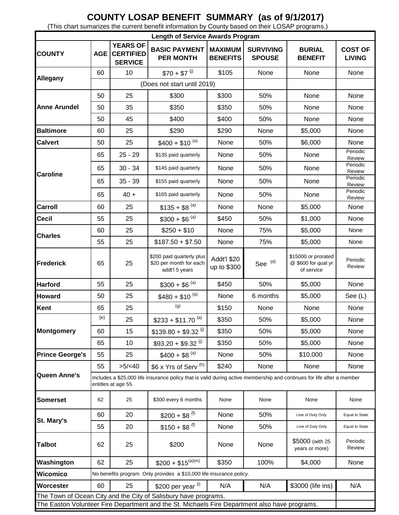## **COUNTY LOSAP BENEFIT SUMMARY (as of 9/1/2017)**

(This chart sumarizes the current benefit information by County based on their LOSAP programs.)

| <b>Length of Service Awards Program</b>                                                       |                                                                                                                                               |                                                       |                                                                        |                                   |                                   |                                                          |                                 |
|-----------------------------------------------------------------------------------------------|-----------------------------------------------------------------------------------------------------------------------------------------------|-------------------------------------------------------|------------------------------------------------------------------------|-----------------------------------|-----------------------------------|----------------------------------------------------------|---------------------------------|
| <b>COUNTY</b>                                                                                 | <b>AGE</b>                                                                                                                                    | <b>YEARS OF</b><br><b>CERTIFIED</b><br><b>SERVICE</b> | <b>BASIC PAYMENT</b><br><b>PER MONTH</b>                               | <b>MAXIMUM</b><br><b>BENEFITS</b> | <b>SURVIVING</b><br><b>SPOUSE</b> | <b>BURIAL</b><br><b>BENEFIT</b>                          | <b>COST OF</b><br><b>LIVING</b> |
| Allegany                                                                                      | 60                                                                                                                                            | 10                                                    | $$70 + $7^{(j)}$                                                       | \$105                             | None                              | None                                                     | None                            |
|                                                                                               |                                                                                                                                               | (Does not start until 2019)                           |                                                                        |                                   |                                   |                                                          |                                 |
| <b>Anne Arundel</b>                                                                           | 50                                                                                                                                            | 25                                                    | \$300                                                                  | \$300                             | 50%                               | None                                                     | None                            |
|                                                                                               | 50                                                                                                                                            | 35                                                    | \$350                                                                  | \$350                             | 50%                               | None                                                     | None                            |
|                                                                                               | 50                                                                                                                                            | 45                                                    | \$400                                                                  | \$400                             | 50%                               | None                                                     | None                            |
| <b>Baltimore</b>                                                                              | 60                                                                                                                                            | 25                                                    | \$290                                                                  | \$290                             | None                              | \$5,000                                                  | None                            |
| <b>Calvert</b>                                                                                | 50                                                                                                                                            | 25                                                    | $$400 + $10^{(a)}$                                                     | None                              | 50%                               | \$6,000                                                  | None                            |
| <b>Caroline</b>                                                                               | 65                                                                                                                                            | $25 - 29$                                             | \$135 paid quarterly                                                   | None                              | 50%                               | None                                                     | Periodic<br>Review              |
|                                                                                               | 65                                                                                                                                            | $30 - 34$                                             | \$145 paid quarterly                                                   | None                              | 50%                               | None                                                     | Periodic<br>Review              |
|                                                                                               | 65                                                                                                                                            | $35 - 39$                                             | \$155 paid quarterly                                                   | None                              | 50%                               | None                                                     | Periodic<br>Review              |
|                                                                                               | 65                                                                                                                                            | $40 +$                                                | \$165 paid quarterly                                                   | None                              | 50%                               | None                                                     | Periodic                        |
| <b>Carroll</b>                                                                                | 60                                                                                                                                            | 25                                                    | $$135 + $8^{(a)}$$                                                     | None                              | None                              | \$5,000                                                  | Review<br>None                  |
| <b>Cecil</b>                                                                                  | 55                                                                                                                                            | 25                                                    | $$300 + $6^{(a)}$                                                      | \$450                             | 50%                               | \$1,000                                                  | None                            |
| <b>Charles</b>                                                                                | 60                                                                                                                                            | 25                                                    | $$250 + $10$                                                           | None                              | 75%                               | \$5,000                                                  | None                            |
|                                                                                               | 55                                                                                                                                            | 25                                                    | $$187.50 + $7.50$                                                      | None                              | 75%                               | \$5,000                                                  | None                            |
| <b>Frederick</b>                                                                              | 65                                                                                                                                            | 25                                                    | \$200 paid quarterly plus<br>\$20 per month for each<br>addt'l 5 years | Addt'l \$20<br>up to \$300        | See <sup>(d)</sup>                | \$15000 or prorated<br>@ \$600 for qual yr<br>of service | Periodic<br>Review              |
| <b>Harford</b>                                                                                | 55                                                                                                                                            | 25                                                    | $$300 + $6^{(a)}$                                                      | \$450                             | 50%                               | \$5,000                                                  | None                            |
| <b>Howard</b>                                                                                 | 50                                                                                                                                            | 25                                                    | $$480 + $10^{(a)}$                                                     | None                              | 6 months                          | \$5,000                                                  | See (L)                         |
| <b>Kent</b>                                                                                   | 65                                                                                                                                            | 25                                                    | (g)                                                                    | \$150                             | None                              | None                                                     | None                            |
| <b>Montgomery</b>                                                                             | (e)                                                                                                                                           | 25                                                    | $$233 + $11.70^{(a)}$                                                  | \$350                             | 50%                               | \$5,000                                                  | None                            |
|                                                                                               | 60                                                                                                                                            | 15                                                    | $$139.80 + $9.32$ <sup>(j)</sup>                                       | \$350                             | 50%                               | \$5,000                                                  | None                            |
|                                                                                               | 65                                                                                                                                            | 10                                                    | $$93.20 + $9.32$ <sup>(j)</sup>                                        | \$350                             | 50%                               | \$5,000                                                  | None                            |
| <b>Prince George's</b>                                                                        | 55                                                                                                                                            | 25                                                    | $$400 + $8^{(a)}$$                                                     | None                              | 50%                               | \$10,000                                                 | None                            |
|                                                                                               | 55                                                                                                                                            | >5/ <sub>40</sub>                                     | \$6 x Yrs of Serv <sup>(h)</sup>                                       | \$240                             | None                              | None                                                     | None                            |
| <b>Queen Anne's</b>                                                                           | Includes a \$25,000 life insurance policy that is valid during active membership and continues for life after a member<br>entitles at age 55. |                                                       |                                                                        |                                   |                                   |                                                          |                                 |
| <b>Somerset</b>                                                                               | 62                                                                                                                                            | 25                                                    | \$300 every 6 months                                                   | None                              | None                              | None                                                     | None                            |
| St. Mary's                                                                                    | 60                                                                                                                                            | 20                                                    | $$200 + $8$ <sup>(f)</sup>                                             | None                              | 50%                               | Line of Duty Only                                        | Equal to State                  |
|                                                                                               | 55                                                                                                                                            | 20                                                    | $$150 + $8$ <sup>(f)</sup>                                             | None                              | 50%                               | Line of Duty Only                                        | Equal to State                  |
| <b>Talbot</b>                                                                                 | 62                                                                                                                                            | 25                                                    | \$200                                                                  | None                              | None                              | \$5000 (with 25<br>years or more)                        | Periodic<br>Review              |
| Washington                                                                                    | 62                                                                                                                                            | 25                                                    | $$200 + $15^{(a)(m)}$                                                  | \$350                             | 100%                              | \$4,000                                                  | None                            |
| <b>Wicomico</b>                                                                               | No benefits program. Only provides a \$10,000 life insurance policy.                                                                          |                                                       |                                                                        |                                   |                                   |                                                          |                                 |
| Worcester                                                                                     | 60                                                                                                                                            | 25                                                    | \$200 per year (i)                                                     | N/A                               | N/A                               | \$3000 (life ins)                                        | N/A                             |
| The Town of Ocean City and the City of Salisbury have programs.                               |                                                                                                                                               |                                                       |                                                                        |                                   |                                   |                                                          |                                 |
| The Easton Volunteer Fire Department and the St. Michaels Fire Department also have programs. |                                                                                                                                               |                                                       |                                                                        |                                   |                                   |                                                          |                                 |